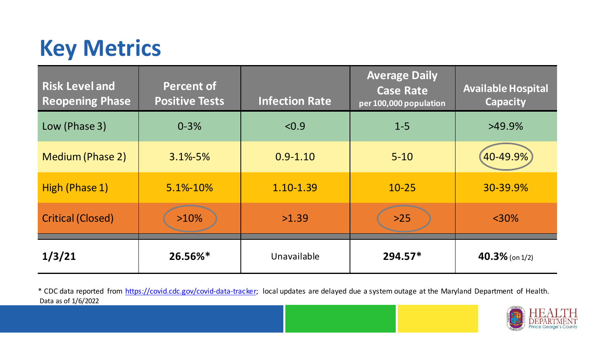## **Key Metrics**

| <b>Risk Level and</b><br><b>Reopening Phase</b> | <b>Percent of</b><br><b>Positive Tests</b> | <b>Infection Rate</b> | <b>Average Daily</b><br><b>Case Rate</b><br>per 100,000 population | <b>Available Hospital</b><br><b>Capacity</b> |
|-------------------------------------------------|--------------------------------------------|-----------------------|--------------------------------------------------------------------|----------------------------------------------|
| Low (Phase 3)                                   | $0 - 3%$                                   | < 0.9                 | $1 - 5$                                                            | $>49.9\%$                                    |
| <b>Medium (Phase 2)</b>                         | $3.1\% - 5\%$                              | $0.9 - 1.10$          | $5 - 10$                                                           | $(40 - 49.9\%)$                              |
| High (Phase 1)                                  | 5.1%-10%                                   | 1.10-1.39             | $10 - 25$                                                          | 30-39.9%                                     |
| <b>Critical (Closed)</b>                        | $>10\%$                                    | >1.39                 | $>25$                                                              | $<$ 30%                                      |
| 1/3/21                                          | 26.56%*                                    | Unavailable           | $294.57*$                                                          | $40.3\%$ (on 1/2)                            |

Data as of 1/6/2022 \* CDC data reported from [https://covid.cdc.gov/covid-data-tracker;](https://covid.cdc.gov/covid-data-tracker) local updates are delayed due a system outage at the Maryland Department of Health.

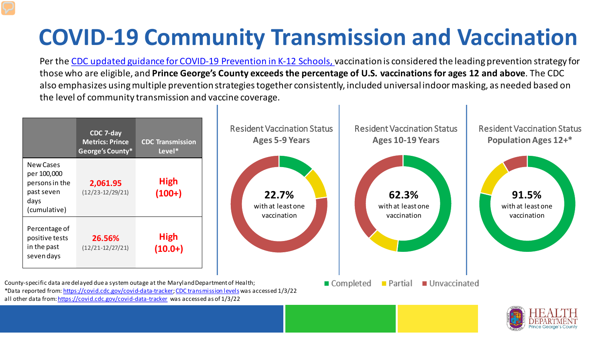## **COVID-19 Community Transmission and Vaccination**

Per the [CDC updated guidance for COVID-19 Prevention in K-12 Schools, v](https://www.cdc.gov/coronavirus/2019-ncov/community/schools-childcare/k-12-guidance.html)accination is considered the leading prevention strategy for those who are eligible, and **Prince George's County exceeds the percentage of U.S. vaccinations for ages 12 and above**. The CDC also emphasizes using multiple prevention strategies together consistently, included universal indoor masking, as needed based on the level of community transmission and vaccine coverage.